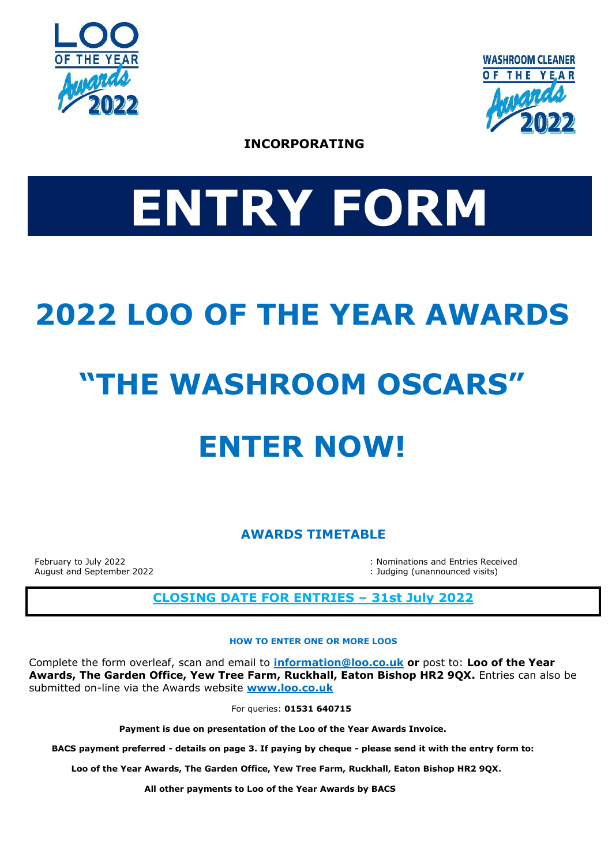



**INCORPORATING** 

# **ENTRY FORM**

# **2022 LOO OF THE YEAR AWARDS**

# **"THE WASHROOM OSCARS"**

# **ENTER NOW!**

**AWARDS TIMETABLE**

February to July 2022 **: Nominations and Entries Received** : Nominations and Entries Received August and September 2022 **in the september 2022** is a separate visits) and September 2022

# **CLOSING DATE FOR ENTRIES – 31st July 2022**

#### **HOW TO ENTER ONE OR MORE LOOS**

Complete the form overleaf, scan and email to **[information@loo.co.uk](mailto:information@loo.co.uk) or** post to: **Loo of the Year Awards, The Garden Office, Yew Tree Farm, Ruckhall, Eaton Bishop HR2 9QX.** Entries can also be submitted on-line via the Awards website **[www.loo.co.uk](http://www.loo.co.uk/)**

For queries: **01531 640715**

 **Payment is due on presentation of the Loo of the Year Awards Invoice.**

 **BACS payment preferred - details on page 3. If paying by cheque - please send it with the entry form to:**

 **Loo of the Year Awards, The Garden Office, Yew Tree Farm, Ruckhall, Eaton Bishop HR2 9QX.** 

 **All other payments to Loo of the Year Awards by BACS**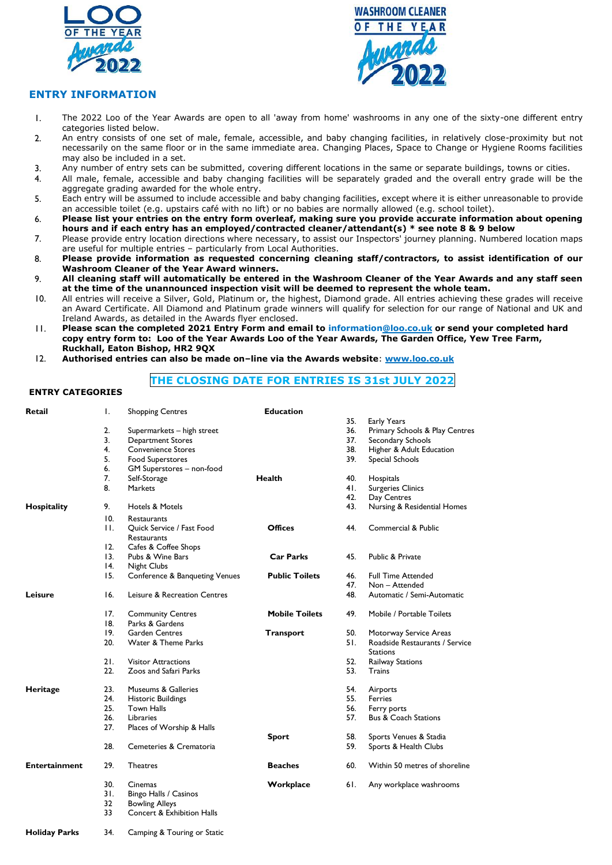



#### **ENTRY INFORMATION**

- 1. The 2022 Loo of the Year Awards are open to all 'away from home' washrooms in any one of the sixty-one different entry categories listed below.
- 2. An entry consists of one set of male, female, accessible, and baby changing facilities, in relatively close-proximity but not necessarily on the same floor or in the same immediate area. Changing Places, Space to Change or Hygiene Rooms facilities may also be included in a set.
- 3. Any number of entry sets can be submitted, covering different locations in the same or separate buildings, towns or cities.
- 4. All male, female, accessible and baby changing facilities will be separately graded and the overall entry grade will be the aggregate grading awarded for the whole entry.
- 5. Each entry will be assumed to include accessible and baby changing facilities, except where it is either unreasonable to provide an accessible toilet (e.g. upstairs café with no lift) or no babies are normally allowed (e.g. school toilet).
- 6. **Please list your entries on the entry form overleaf, making sure you provide accurate information about opening hours and if each entry has an employed/contracted cleaner/attendant(s) \* see note 8 & 9 below**
- 7. Please provide entry location directions where necessary, to assist our Inspectors' journey planning. Numbered location maps are useful for multiple entries – particularly from Local Authorities.
- 8. **Please provide information as requested concerning cleaning staff/contractors, to assist identification of our Washroom Cleaner of the Year Award winners.**
- 9. **All cleaning staff will automatically be entered in the Washroom Cleaner of the Year Awards and any staff seen at the time of the unannounced inspection visit will be deemed to represent the whole team.**
- 10. All entries will receive a Silver, Gold, Platinum or, the highest, Diamond grade. All entries achieving these grades will receive an Award Certificate. All Diamond and Platinum grade winners will qualify for selection for our range of National and UK and Ireland Awards, as detailed in the Awards flyer enclosed.
- 11. **Please scan the completed 2021 Entry Form and email to informatio[n@loo.co.uk](mailto:mike@loo.co.uk) or send your completed hard copy entry form to: Loo of the Year Awards Loo of the Year Awards, The Garden Office, Yew Tree Farm, Ruckhall, Eaton Bishop, HR2 9QX**
- 12. **Authorised entries can also be made on–line via the Awards website**: **[www.loo.co.uk](http://www.loo.co.uk/)**

#### **THE CLOSING DATE FOR ENTRIES IS 31st JULY 2022**

#### **ENTRY CATEGORIES**

| <b>Retail</b>        | Ι.                | <b>Shopping Centres</b>                  | <b>Education</b>      |     |                                 |
|----------------------|-------------------|------------------------------------------|-----------------------|-----|---------------------------------|
|                      |                   |                                          |                       | 35. | Early Years                     |
|                      | 2.                | Supermarkets - high street               |                       | 36. | Primary Schools & Play Centres  |
|                      | 3.                | <b>Department Stores</b>                 |                       | 37. | Secondary Schools               |
|                      | 4.                | <b>Convenience Stores</b>                |                       | 38. | Higher & Adult Education        |
|                      | 5.                | <b>Food Superstores</b>                  |                       | 39. | Special Schools                 |
|                      | 6.                | GM Superstores - non-food                |                       |     |                                 |
|                      | 7.                | Self-Storage                             | <b>Health</b>         | 40. | Hospitals                       |
|                      | 8.                | Markets                                  |                       | 41. | <b>Surgeries Clinics</b>        |
|                      |                   |                                          |                       | 42. | Day Centres                     |
| Hospitality          | 9.                | <b>Hotels &amp; Motels</b>               |                       | 43. | Nursing & Residential Homes     |
|                      | 10.               | <b>Restaurants</b>                       |                       |     |                                 |
|                      | $\mathbf{H}$ .    | Quick Service / Fast Food<br>Restaurants | <b>Offices</b>        | 44. | Commercial & Public             |
|                      | 12.               | Cafes & Coffee Shops                     |                       |     |                                 |
|                      | 13.               | Pubs & Wine Bars                         | <b>Car Parks</b>      | 45. | Public & Private                |
|                      | $\overline{14}$ . | <b>Night Clubs</b>                       |                       |     |                                 |
|                      | 15.               | Conference & Banqueting Venues           | <b>Public Toilets</b> | 46. | <b>Full Time Attended</b>       |
|                      |                   |                                          |                       | 47. | Non - Attended                  |
| Leisure              | 16.               | Leisure & Recreation Centres             |                       | 48. | Automatic / Semi-Automatic      |
|                      | 17.               | <b>Community Centres</b>                 | <b>Mobile Toilets</b> | 49. | Mobile / Portable Toilets       |
|                      | 8.                | Parks & Gardens                          |                       |     |                                 |
|                      | 19.               | <b>Garden Centres</b>                    | Transport             | 50. | Motorway Service Areas          |
|                      | 20.               | Water & Theme Parks                      |                       | 51. | Roadside Restaurants / Service  |
|                      |                   |                                          |                       |     | <b>Stations</b>                 |
|                      | 21.               | <b>Visitor Attractions</b>               |                       | 52. | <b>Railway Stations</b>         |
|                      | 22.               | Zoos and Safari Parks                    |                       | 53. | Trains                          |
| Heritage             | 23.               | Museums & Galleries                      |                       | 54. | Airports                        |
|                      | 24.               | <b>Historic Buildings</b>                |                       | 55. | <b>Ferries</b>                  |
|                      | 25.               | <b>Town Halls</b>                        |                       | 56. | Ferry ports                     |
|                      | 26.               | Libraries                                |                       | 57. | <b>Bus &amp; Coach Stations</b> |
|                      | 27.               | Places of Worship & Halls                |                       |     |                                 |
|                      |                   |                                          | <b>Sport</b>          | 58. | Sports Venues & Stadia          |
|                      | 28.               | Cemeteries & Crematoria                  |                       | 59. | Sports & Health Clubs           |
|                      |                   |                                          |                       |     |                                 |
| <b>Entertainment</b> | 29.               | <b>Theatres</b>                          | <b>Beaches</b>        | 60. | Within 50 metres of shoreline   |
|                      | 30.               | Cinemas                                  | Workplace             | 6I. | Any workplace washrooms         |
|                      | 31.               | Bingo Halls / Casinos                    |                       |     |                                 |
|                      | 32                | <b>Bowling Alleys</b>                    |                       |     |                                 |
|                      | 33                | Concert & Exhibition Halls               |                       |     |                                 |

**Holiday Parks** 34. Camping & Touring or Static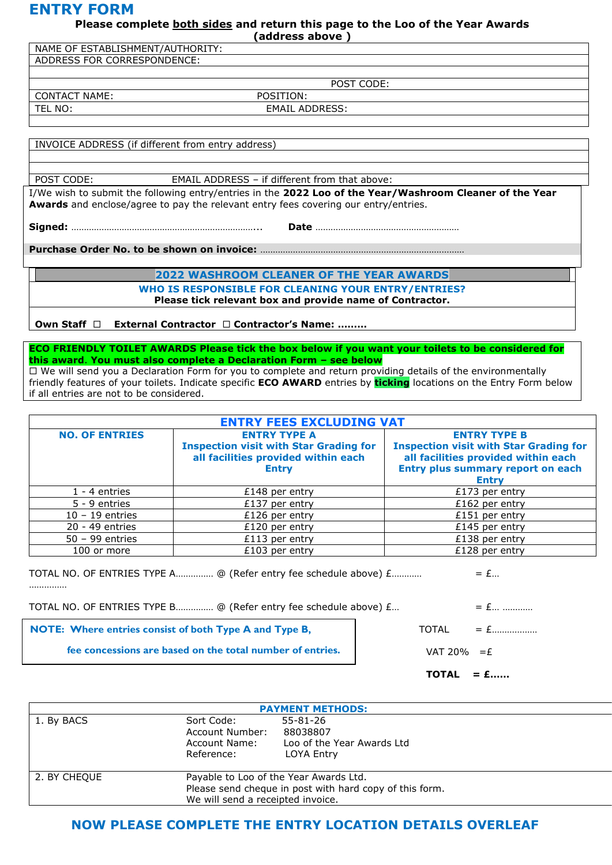### **ENTRY FORM**

**Please complete both sides and return this page to the Loo of the Year Awards**

**(address above )**

| NAME OF ESTABLISHMENT/AUTHORITY:                                                                                                                                                                |                                                      |  |  |  |  |
|-------------------------------------------------------------------------------------------------------------------------------------------------------------------------------------------------|------------------------------------------------------|--|--|--|--|
| ADDRESS FOR CORRESPONDENCE:                                                                                                                                                                     |                                                      |  |  |  |  |
|                                                                                                                                                                                                 |                                                      |  |  |  |  |
|                                                                                                                                                                                                 | POST CODE:                                           |  |  |  |  |
| <b>CONTACT NAME:</b>                                                                                                                                                                            | POSITION:                                            |  |  |  |  |
| TEL NO:                                                                                                                                                                                         | <b>EMAIL ADDRESS:</b>                                |  |  |  |  |
|                                                                                                                                                                                                 |                                                      |  |  |  |  |
|                                                                                                                                                                                                 |                                                      |  |  |  |  |
| INVOICE ADDRESS (if different from entry address)                                                                                                                                               |                                                      |  |  |  |  |
|                                                                                                                                                                                                 |                                                      |  |  |  |  |
|                                                                                                                                                                                                 |                                                      |  |  |  |  |
| POST CODE:                                                                                                                                                                                      | <b>EMAIL ADDRESS - if different from that above:</b> |  |  |  |  |
| I/We wish to submit the following entry/entries in the 2022 Loo of the Year/Washroom Cleaner of the Year<br>Awards and enclose/agree to pay the relevant entry fees covering our entry/entries. |                                                      |  |  |  |  |

**Purchase Order No. to be shown on invoice:** ………………………………………………………………………

**Signed:** ………………………………………………………………... **Date** …………………………………………………

**2022 WASHROOM CLEANER OF THE YEAR AWARDS**

**WHO IS RESPONSIBLE FOR CLEANING YOUR ENTRY/ENTRIES? Please tick relevant box and provide name of Contractor.**

**Own Staff External Contractor Contractor's Name: ………**

**ECO FRIENDLY TOILET AWARDS Please tick the box below if you want your toilets to be considered for this award**. **You must also complete a Declaration Form – see below**  $\Box$  We will send you a Declaration Form for you to complete and return providing details of the environmentally friendly features of your toilets. Indicate specific **ECO AWARD** entries by **ticking** locations on the Entry Form below if all entries are not to be considered.

| <b>ENTRY FEES EXCLUDING VAT</b> |                                                                                                                             |                                                                                                                                                                  |  |  |  |  |
|---------------------------------|-----------------------------------------------------------------------------------------------------------------------------|------------------------------------------------------------------------------------------------------------------------------------------------------------------|--|--|--|--|
| <b>NO. OF ENTRIES</b>           | <b>ENTRY TYPE A</b><br><b>Inspection visit with Star Grading for</b><br>all facilities provided within each<br><b>Entry</b> | <b>ENTRY TYPE B</b><br><b>Inspection visit with Star Grading for</b><br>all facilities provided within each<br>Entry plus summary report on each<br><b>Entry</b> |  |  |  |  |
| $1 - 4$ entries                 | £148 per entry                                                                                                              | $£173$ per entry                                                                                                                                                 |  |  |  |  |
| 5 - 9 entries                   | £137 per entry                                                                                                              | £162 per entry                                                                                                                                                   |  |  |  |  |
| $10 - 19$ entries               | £126 per entry                                                                                                              | $£151$ per entry                                                                                                                                                 |  |  |  |  |
| 20 - 49 entries                 | £120 per entry                                                                                                              | £145 per entry                                                                                                                                                   |  |  |  |  |
| $50 - 99$ entries               | $£113$ per entry                                                                                                            | £138 per entry                                                                                                                                                   |  |  |  |  |
| 100 or more                     | $£103$ per entry                                                                                                            | £128 per entry                                                                                                                                                   |  |  |  |  |

| TOTAL NO. OF ENTRIES TYPE A @ (Refer entry fee schedule above) £ | $= E$ |  |
|------------------------------------------------------------------|-------|--|
|                                                                  |       |  |

|                                                                  | <b>TOTAL</b><br>$= 1.1$   |
|------------------------------------------------------------------|---------------------------|
| fee concessions are based on the total number of entries.        | VAT 20% $=$ $E$           |
| <b>NOTE:</b> Where entries consist of both Type A and Type B,    | $\text{TOTAL} = \text{£}$ |
| TOTAL NO. OF ENTRIES TYPE B @ (Refer entry fee schedule above) £ |                           |

| <b>PAYMENT METHODS:</b> |                                                              |                                                                                                   |  |  |
|-------------------------|--------------------------------------------------------------|---------------------------------------------------------------------------------------------------|--|--|
| 1. By BACS              | Sort Code:<br>Account Number:<br>Account Name:<br>Reference: | 55-81-26<br>88038807<br>Loo of the Year Awards Ltd<br>LOYA Entry                                  |  |  |
| 2. BY CHEOUE            | We will send a receipted invoice.                            | Payable to Loo of the Year Awards Ltd.<br>Please send cheque in post with hard copy of this form. |  |  |

### **NOW PLEASE COMPLETE THE ENTRY LOCATION DETAILS OVERLEAF**